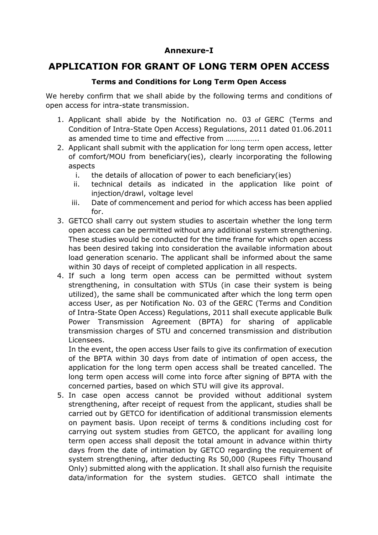## **Annexure-I**

## **APPLICATION FOR GRANT OF LONG TERM OPEN ACCESS**

## **Terms and Conditions for Long Term Open Access**

We hereby confirm that we shall abide by the following terms and conditions of open access for intra-state transmission.

- 1. Applicant shall abide by the Notification no. 03 of GERC (Terms and Condition of Intra-State Open Access) Regulations, 2011 dated 01.06.2011 as amended time to time and effective from ……………..
- 2. Applicant shall submit with the application for long term open access, letter of comfort/MOU from beneficiary(ies), clearly incorporating the following aspects
	- i. the details of allocation of power to each beneficiary(ies)
	- ii. technical details as indicated in the application like point of injection/drawl, voltage level
	- iii. Date of commencement and period for which access has been applied for.
- 3. GETCO shall carry out system studies to ascertain whether the long term open access can be permitted without any additional system strengthening. These studies would be conducted for the time frame for which open access has been desired taking into consideration the available information about load generation scenario. The applicant shall be informed about the same within 30 days of receipt of completed application in all respects.
- 4. If such a long term open access can be permitted without system strengthening, in consultation with STUs (in case their system is being utilized), the same shall be communicated after which the long term open access User, as per Notification No. 03 of the GERC (Terms and Condition of Intra-State Open Access) Regulations, 2011 shall execute applicable Bulk Power Transmission Agreement (BPTA) for sharing of applicable transmission charges of STU and concerned transmission and distribution Licensees.

In the event, the open access User fails to give its confirmation of execution of the BPTA within 30 days from date of intimation of open access, the application for the long term open access shall be treated cancelled. The long term open access will come into force after signing of BPTA with the concerned parties, based on which STU will give its approval.

5. In case open access cannot be provided without additional system strengthening, after receipt of request from the applicant, studies shall be carried out by GETCO for identification of additional transmission elements on payment basis. Upon receipt of terms & conditions including cost for carrying out system studies from GETCO, the applicant for availing long term open access shall deposit the total amount in advance within thirty days from the date of intimation by GETCO regarding the requirement of system strengthening, after deducting Rs 50,000 (Rupees Fifty Thousand Only) submitted along with the application. It shall also furnish the requisite data/information for the system studies. GETCO shall intimate the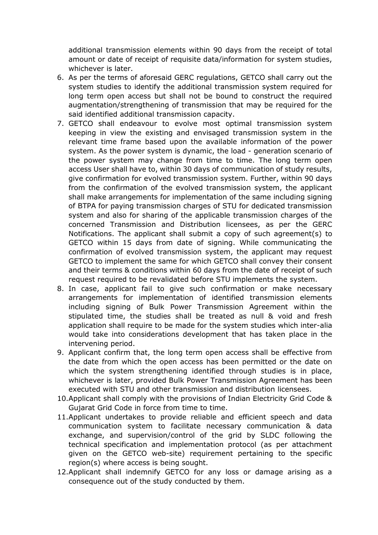additional transmission elements within 90 days from the receipt of total amount or date of receipt of requisite data/information for system studies, whichever is later.

- 6. As per the terms of aforesaid GERC regulations, GETCO shall carry out the system studies to identify the additional transmission system required for long term open access but shall not be bound to construct the required augmentation/strengthening of transmission that may be required for the said identified additional transmission capacity.
- 7. GETCO shall endeavour to evolve most optimal transmission system keeping in view the existing and envisaged transmission system in the relevant time frame based upon the available information of the power system. As the power system is dynamic, the load - generation scenario of the power system may change from time to time. The long term open access User shall have to, within 30 days of communication of study results, give confirmation for evolved transmission system. Further, within 90 days from the confirmation of the evolved transmission system, the applicant shall make arrangements for implementation of the same including signing of BTPA for paying transmission charges of STU for dedicated transmission system and also for sharing of the applicable transmission charges of the concerned Transmission and Distribution licensees, as per the GERC Notifications. The applicant shall submit a copy of such agreement(s) to GETCO within 15 days from date of signing. While communicating the confirmation of evolved transmission system, the applicant may request GETCO to implement the same for which GETCO shall convey their consent and their terms & conditions within 60 days from the date of receipt of such request required to be revalidated before STU implements the system.
- 8. In case, applicant fail to give such confirmation or make necessary arrangements for implementation of identified transmission elements including signing of Bulk Power Transmission Agreement within the stipulated time, the studies shall be treated as null & void and fresh application shall require to be made for the system studies which inter-alia would take into considerations development that has taken place in the intervening period.
- 9. Applicant confirm that, the long term open access shall be effective from the date from which the open access has been permitted or the date on which the system strengthening identified through studies is in place, whichever is later, provided Bulk Power Transmission Agreement has been executed with STU and other transmission and distribution licensees.
- 10.Applicant shall comply with the provisions of Indian Electricity Grid Code & Gujarat Grid Code in force from time to time.
- 11.Applicant undertakes to provide reliable and efficient speech and data communication system to facilitate necessary communication & data exchange, and supervision/control of the grid by SLDC following the technical specification and implementation protocol (as per attachment given on the GETCO web-site) requirement pertaining to the specific region(s) where access is being sought.
- 12.Applicant shall indemnify GETCO for any loss or damage arising as a consequence out of the study conducted by them.